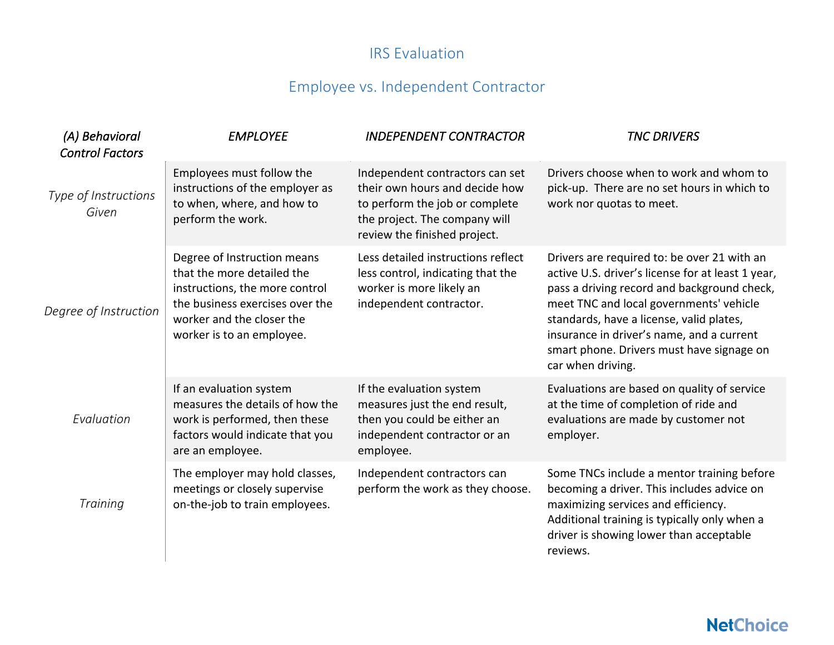#### IRS Evaluation

# Employee vs. Independent Contractor

| (A) Behavioral<br><b>Control Factors</b> | <b>EMPLOYEE</b>                                                                                                                                                                          | <b>INDEPENDENT CONTRACTOR</b>                                                                                                                                        | <b>TNC DRIVERS</b>                                                                                                                                                                                                                                                                                                                                    |
|------------------------------------------|------------------------------------------------------------------------------------------------------------------------------------------------------------------------------------------|----------------------------------------------------------------------------------------------------------------------------------------------------------------------|-------------------------------------------------------------------------------------------------------------------------------------------------------------------------------------------------------------------------------------------------------------------------------------------------------------------------------------------------------|
| Type of Instructions<br>Given            | Employees must follow the<br>instructions of the employer as<br>to when, where, and how to<br>perform the work.                                                                          | Independent contractors can set<br>their own hours and decide how<br>to perform the job or complete<br>the project. The company will<br>review the finished project. | Drivers choose when to work and whom to<br>pick-up. There are no set hours in which to<br>work nor quotas to meet.                                                                                                                                                                                                                                    |
| Degree of Instruction                    | Degree of Instruction means<br>that the more detailed the<br>instructions, the more control<br>the business exercises over the<br>worker and the closer the<br>worker is to an employee. | Less detailed instructions reflect<br>less control, indicating that the<br>worker is more likely an<br>independent contractor.                                       | Drivers are required to: be over 21 with an<br>active U.S. driver's license for at least 1 year,<br>pass a driving record and background check,<br>meet TNC and local governments' vehicle<br>standards, have a license, valid plates,<br>insurance in driver's name, and a current<br>smart phone. Drivers must have signage on<br>car when driving. |
| Evaluation                               | If an evaluation system<br>measures the details of how the<br>work is performed, then these<br>factors would indicate that you<br>are an employee.                                       | If the evaluation system<br>measures just the end result,<br>then you could be either an<br>independent contractor or an<br>employee.                                | Evaluations are based on quality of service<br>at the time of completion of ride and<br>evaluations are made by customer not<br>employer.                                                                                                                                                                                                             |
| <b>Training</b>                          | The employer may hold classes,<br>meetings or closely supervise<br>on-the-job to train employees.                                                                                        | Independent contractors can<br>perform the work as they choose.                                                                                                      | Some TNCs include a mentor training before<br>becoming a driver. This includes advice on<br>maximizing services and efficiency.<br>Additional training is typically only when a<br>driver is showing lower than acceptable<br>reviews.                                                                                                                |

## **NetChoice**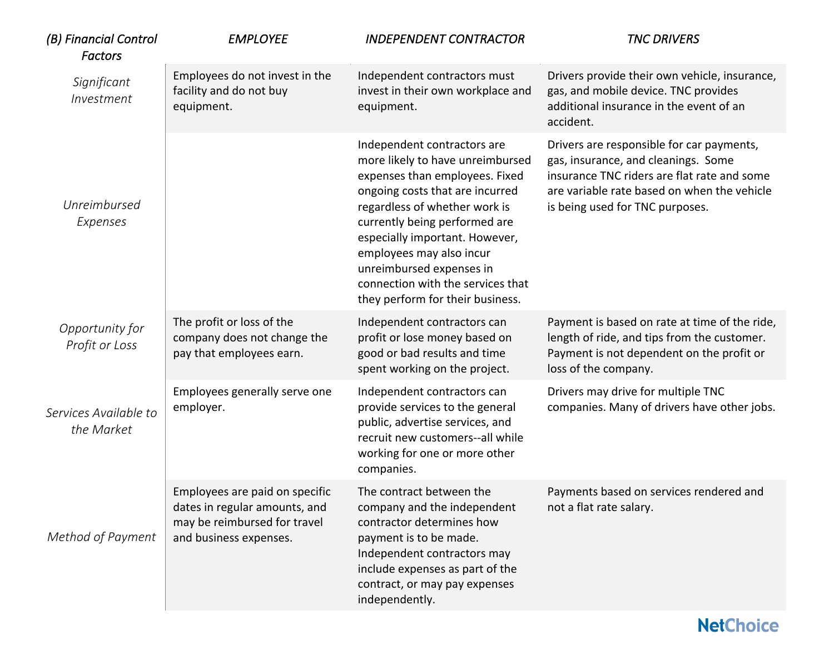| (B) Financial Control<br><b>Factors</b> | <b>EMPLOYEE</b>                                                                                                           | <b>INDEPENDENT CONTRACTOR</b>                                                                                                                                                                                                                                                                                                                                             | <b>TNC DRIVERS</b>                                                                                                                                                                                                |
|-----------------------------------------|---------------------------------------------------------------------------------------------------------------------------|---------------------------------------------------------------------------------------------------------------------------------------------------------------------------------------------------------------------------------------------------------------------------------------------------------------------------------------------------------------------------|-------------------------------------------------------------------------------------------------------------------------------------------------------------------------------------------------------------------|
| Significant<br>Investment               | Employees do not invest in the<br>facility and do not buy<br>equipment.                                                   | Independent contractors must<br>invest in their own workplace and<br>equipment.                                                                                                                                                                                                                                                                                           | Drivers provide their own vehicle, insurance,<br>gas, and mobile device. TNC provides<br>additional insurance in the event of an<br>accident.                                                                     |
| Unreimbursed<br>Expenses                |                                                                                                                           | Independent contractors are<br>more likely to have unreimbursed<br>expenses than employees. Fixed<br>ongoing costs that are incurred<br>regardless of whether work is<br>currently being performed are<br>especially important. However,<br>employees may also incur<br>unreimbursed expenses in<br>connection with the services that<br>they perform for their business. | Drivers are responsible for car payments,<br>gas, insurance, and cleanings. Some<br>insurance TNC riders are flat rate and some<br>are variable rate based on when the vehicle<br>is being used for TNC purposes. |
| Opportunity for<br>Profit or Loss       | The profit or loss of the<br>company does not change the<br>pay that employees earn.                                      | Independent contractors can<br>profit or lose money based on<br>good or bad results and time<br>spent working on the project.                                                                                                                                                                                                                                             | Payment is based on rate at time of the ride,<br>length of ride, and tips from the customer.<br>Payment is not dependent on the profit or<br>loss of the company.                                                 |
| Services Available to<br>the Market     | Employees generally serve one<br>employer.                                                                                | Independent contractors can<br>provide services to the general<br>public, advertise services, and<br>recruit new customers--all while<br>working for one or more other<br>companies.                                                                                                                                                                                      | Drivers may drive for multiple TNC<br>companies. Many of drivers have other jobs.                                                                                                                                 |
| Method of Payment                       | Employees are paid on specific<br>dates in regular amounts, and<br>may be reimbursed for travel<br>and business expenses. | The contract between the<br>company and the independent<br>contractor determines how<br>payment is to be made.<br>Independent contractors may<br>include expenses as part of the<br>contract, or may pay expenses<br>independently.                                                                                                                                       | Payments based on services rendered and<br>not a flat rate salary.                                                                                                                                                |

### **NetChoice**